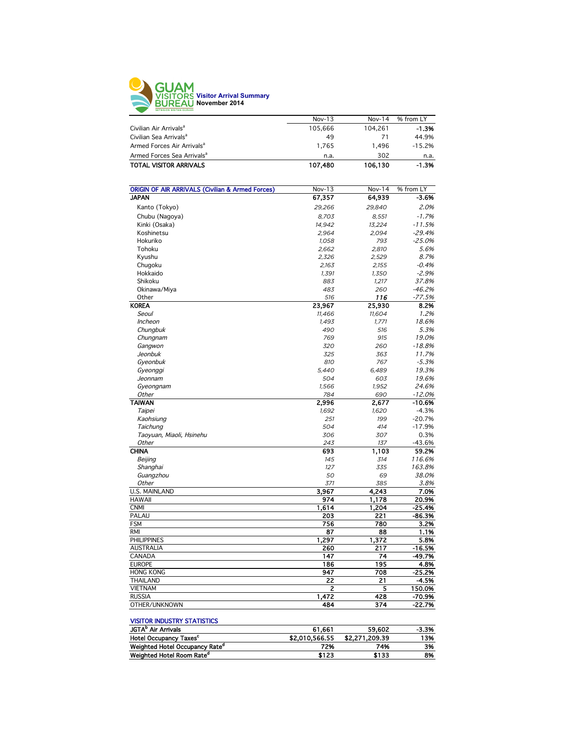

|                                        | $Nov-13$ | $Nov-14$ | % from LY |
|----------------------------------------|----------|----------|-----------|
| Civilian Air Arrivals <sup>a</sup>     | 105.666  | 104.261  | -1.3%     |
| Civilian Sea Arrivals <sup>a</sup>     | 49       | 71       | 44.9%     |
| Armed Forces Air Arrivals <sup>a</sup> | 1.765    | 1.496    | $-15.2%$  |
| Armed Forces Sea Arrivals <sup>a</sup> | n.a.     | 302      | n.a.      |
| <b>TOTAL VISITOR ARRIVALS</b>          | 107,480  | 106.130  | $-1.3%$   |
|                                        |          |          |           |

| <b>ORIGIN OF AIR ARRIVALS (Civilian &amp; Armed Forces)</b> | Nov-13       | Nov-14       | % from LY            |
|-------------------------------------------------------------|--------------|--------------|----------------------|
| <b>JAPAN</b>                                                | 67,357       | 64,939       | $-3.6%$              |
| Kanto (Tokyo)                                               | 29,266       | 29,840       | 2.0%                 |
| Chubu (Nagoya)                                              | 8,703        | 8.551        | $-1.7%$              |
| Kinki (Osaka)                                               | 14,942       | 13,224       | $-11.5%$             |
| Koshinetsu                                                  | 2,964        | 2,094        | $-29.4%$             |
| Hokuriko                                                    | 1,058        | 793          | $-25.0%$             |
| Tohoku                                                      | 2,662        | 2,810        | 5.6%                 |
| Kyushu                                                      | 2,326        | 2,529        | 8.7%                 |
| Chugoku                                                     | 2,163        | 2,155        | $-0.4%$              |
| Hokkaido                                                    | 1,391        | 1,350        | $-2.9%$              |
| Shikoku                                                     | 883          | 1,217        | 37.8%                |
| Okinawa/Miya                                                | 483          | 260          | $-46.2%$             |
| Other                                                       | 516          | 116          | $-77.5%$             |
| <b>KOREA</b>                                                | 23,967       | 25,930       | 8.2%                 |
| Seoul                                                       | 11,466       | 11,604       | 1.2%                 |
| <b>Incheon</b>                                              | 1,493        | 1,771        | 18.6%                |
| Chungbuk                                                    | 490          | 516          | 5.3%                 |
|                                                             | 769          | 915          | 19.0%                |
| Chungnam                                                    | 320          | 260          | $-18.8%$             |
| Gangwon<br>Jeonbuk                                          | 325          | 363          | 11.7%                |
| Gyeonbuk                                                    | 810          | 767          | $-5.3%$              |
|                                                             |              | 6,489        | 19.3%                |
| Gyeonggi<br>Jeonnam                                         | 5,440<br>504 | 603          | 19.6%                |
|                                                             | 1,566        | 1,952        | 24.6%                |
| Gyeongnam                                                   |              |              |                      |
| Other<br><b>TAIWAN</b>                                      | 784<br>2,996 | 690<br>2,677 | $-12.0%$<br>$-10.6%$ |
|                                                             | 1,692        | 1,620        | $-4.3%$              |
| Taipei                                                      | 251          | 199          | $-20.7%$             |
| Kaohsiung                                                   | 504          | 414          | $-17.9%$             |
| Taichung                                                    |              |              | 0.3%                 |
| Taoyuan, Miaoli, Hsinehu<br>Other                           | 306          | 307          |                      |
| <b>CHINA</b>                                                | 243<br>693   | 137          | -43.6%<br>59.2%      |
|                                                             | 145          | 1,103        | 116.6%               |
| Beijing                                                     | 127          | 314<br>335   | 163.8%               |
| Shanghai<br>Guangzhou                                       | 50           |              | 38.0%                |
| Other                                                       | 371          | 69<br>385    | 3.8%                 |
| <b>U.S. MAINLAND</b>                                        | 3,967        | 4,243        | 7.0%                 |
| <b>HAWAII</b>                                               | 974          | 1,178        | 20.9%                |
| <b>CNMI</b>                                                 | 1,614        | 1,204        | $-25.4%$             |
| PALAU                                                       | 203          | 221          | $-86.3%$             |
| <b>FSM</b>                                                  | 756          | 780          | 3.2%                 |
| <b>RMI</b>                                                  | 87           | 88           | 1.1%                 |
| <b>PHILIPPINES</b>                                          | 1,297        |              |                      |
|                                                             |              | 1,372        | 5.8%                 |
| <b>AUSTRALIA</b>                                            | 260          | 217          | $-16.5%$             |
| CANADA<br><b>EUROPE</b>                                     | 147<br>186   | 74           | $-49.7%$             |
|                                                             |              | 195          | 4.8%                 |
| <b>HONG KONG</b>                                            | 947          | 708          | $-25.2%$             |
| <b>THAILAND</b>                                             | 22           | 21           | $-4.5%$              |
| <b>VIETNAM</b>                                              | 2            | 5            | 150.0%               |
| <b>RUSSIA</b>                                               | 1,472        | 428          | $-70.9%$             |
| OTHER/UNKNOWN                                               | 484          | 374          | $-22.7%$             |

#### VISITOR INDUSTRY STATISTICS

|                | 59.602         | $-3.3%$ |
|----------------|----------------|---------|
| \$2,010,566,55 | \$2.271.209.39 | 13%     |
| 72%            | 74%            | 3%      |
| \$123          | \$133          | 8%      |
|                | 61.661         |         |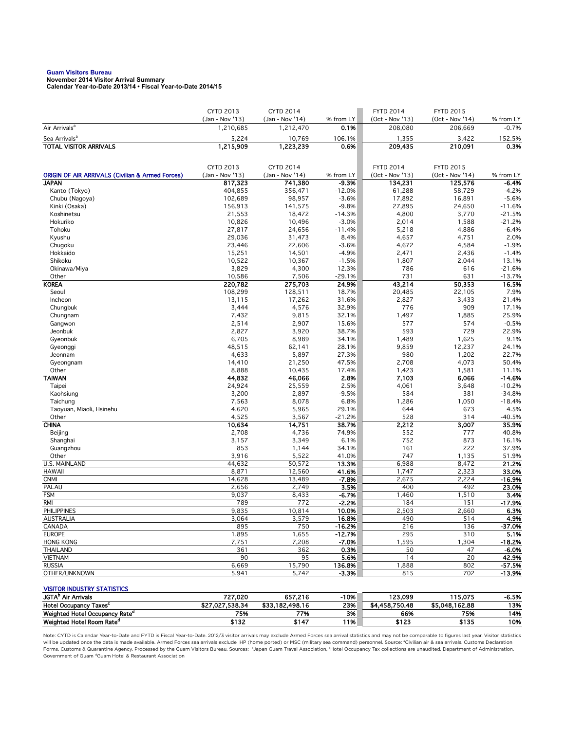# **Guam Visitors Bureau November 2014 Visitor Arrival Summary**

**Calendar Year-to-Date 2013/14 • Fiscal Year-to-Date 2014/15** 

|                                                             | <b>CYTD 2013</b>             | <b>CYTD 2014</b>             |                      | <b>FYTD 2014</b>           | <b>FYTD 2015</b>                    |                      |
|-------------------------------------------------------------|------------------------------|------------------------------|----------------------|----------------------------|-------------------------------------|----------------------|
| Air Arrivals <sup>a</sup>                                   | (Jan - Nov '13)<br>1,210,685 | (Jan - Nov '14)<br>1,212,470 | % from LY<br>0.1%    | (Oct - Nov '13)<br>208,080 | (Oct - Nov '14)<br>206.669          | % from LY<br>$-0.7%$ |
| Sea Arrivals <sup>a</sup>                                   | 5,224                        | 10,769                       | 106.1%               | 1,355                      | 3,422                               | 152.5%               |
| <b>TOTAL VISITOR ARRIVALS</b>                               | 1,215,909                    | 1,223,239                    | 0.6%                 | 209,435                    | 210,091                             | 0.3%                 |
|                                                             |                              |                              |                      |                            |                                     |                      |
|                                                             | CYTD 2013                    | <b>CYTD 2014</b>             |                      | <b>FYTD 2014</b>           |                                     |                      |
| <b>ORIGIN OF AIR ARRIVALS (Civilian &amp; Armed Forces)</b> | (Jan - Nov '13)              | (Jan - Nov '14)              | % from LY            | (Oct - Nov '13)            | <b>FYTD 2015</b><br>(Oct - Nov '14) | % from LY            |
| <b>JAPAN</b>                                                | 817.323                      | 741,380                      | -9.3%                | 134,231                    | 125,576                             | -6.4%                |
| Kanto (Tokyo)                                               | 404,855                      | 356,471                      | $-12.0%$             | 61,288                     | 58,729                              | $-4.2%$              |
| Chubu (Nagoya)                                              | 102,689                      | 98,957                       | $-3.6%$              | 17,892                     | 16,891                              | $-5.6%$              |
| Kinki (Osaka)                                               | 156,913                      | 141,575                      | $-9.8%$              | 27,895                     | 24,650                              | $-11.6%$             |
| Koshinetsu                                                  | 21,553                       | 18,472                       | $-14.3%$             | 4,800                      | 3,770                               | $-21.5%$             |
| Hokuriko                                                    | 10,826                       | 10,496                       | $-3.0%$              | 2,014                      | 1,588                               | $-21.2%$             |
| Tohoku                                                      | 27,817                       | 24,656                       | $-11.4%$             | 5,218                      | 4,886                               | $-6.4%$              |
| Kyushu                                                      | 29,036                       | 31,473                       | 8.4%                 | 4,657                      | 4,751                               | 2.0%                 |
| Chugoku                                                     | 23,446                       | 22,606                       | $-3.6%$              | 4,672                      | 4,584                               | $-1.9%$              |
| Hokkaido                                                    | 15,251                       | 14,501                       | $-4.9%$              | 2,471                      | 2,436                               | $-1.4%$              |
| Shikoku                                                     | 10,522                       | 10,367                       | $-1.5%$              | 1,807                      | 2,044                               | 13.1%                |
| Okinawa/Miya                                                | 3,829                        | 4,300                        | 12.3%                | 786                        | 616<br>631                          | $-21.6%$             |
| Other<br><b>KOREA</b>                                       | 10,586<br>220,782            | 7,506<br>275,703             | $-29.1%$<br>24.9%    | 731<br>43,214              | 50,353                              | $-13.7%$<br>16.5%    |
| Seoul                                                       | 108,299                      | 128,511                      | 18.7%                | 20,485                     | 22,105                              | 7.9%                 |
| Incheon                                                     | 13,115                       | 17,262                       | 31.6%                | 2,827                      | 3,433                               | 21.4%                |
| Chungbuk                                                    | 3,444                        | 4,576                        | 32.9%                | 776                        | 909                                 | 17.1%                |
| Chungnam                                                    | 7,432                        | 9,815                        | 32.1%                | 1,497                      | 1,885                               | 25.9%                |
| Gangwon                                                     | 2,514                        | 2,907                        | 15.6%                | 577                        | 574                                 | $-0.5%$              |
| Jeonbuk                                                     | 2,827                        | 3,920                        | 38.7%                | 593                        | 729                                 | 22.9%                |
| Gyeonbuk                                                    | 6,705                        | 8,989                        | 34.1%                | 1,489                      | 1,625                               | 9.1%                 |
| Gyeonggi                                                    | 48,515                       | 62,141                       | 28.1%                | 9,859                      | 12,237                              | 24.1%                |
| Jeonnam                                                     | 4,633                        | 5,897                        | 27.3%                | 980                        | 1,202                               | 22.7%                |
| Gyeongnam                                                   | 14,410                       | 21,250                       | 47.5%                | 2,708                      | 4,073                               | 50.4%                |
| Other                                                       | 8,888                        | 10,435                       | 17.4%                | 1,423                      | 1,581                               | 11.1%                |
| <b>TAIWAN</b>                                               | 44,832                       | 46,066                       | 2.8%                 | 7,103                      | 6,066                               | $-14.6%$             |
| Taipei                                                      | 24,924                       | 25,559                       | 2.5%                 | 4,061                      | 3,648                               | $-10.2%$             |
| Kaohsiung                                                   | 3,200                        | 2,897                        | $-9.5%$              | 584                        | 381                                 | $-34.8%$             |
| Taichung                                                    | 7,563                        | 8,078                        | 6.8%                 | 1,286                      | 1,050                               | $-18.4%$             |
| Taoyuan, Miaoli, Hsinehu<br>Other                           | 4,620<br>4,525               | 5,965<br>3,567               | 29.1%<br>$-21.2%$    | 644<br>528                 | 673<br>314                          | 4.5%<br>$-40.5%$     |
| <b>CHINA</b>                                                | 10,634                       | 14,751                       | 38.7%                | 2,212                      | 3,007                               | 35.9%                |
| Beijing                                                     | 2,708                        | 4,736                        | 74.9%                | 552                        | 777                                 | 40.8%                |
| Shanghai                                                    | 3,157                        | 3,349                        | 6.1%                 | 752                        | 873                                 | 16.1%                |
| Guangzhou                                                   | 853                          | 1,144                        | 34.1%                | 161                        | 222                                 | 37.9%                |
| Other                                                       | 3,916                        | 5,522                        | 41.0%                | 747                        | 1,135                               | 51.9%                |
| <b>U.S. MAINLAND</b>                                        | 44,632                       | 50,572                       | 13.3%                | 6,988                      | 8,472                               | 21.2%                |
| <b>HAWAII</b>                                               | 8,871                        | 12,560                       | 41.6%                | 1,747                      | 2,323                               | 33.0%                |
| <b>CNMI</b>                                                 | 14,628                       | 13,489                       | $-7.8%$              | 2,675                      | 2,224                               | $-16.9%$             |
| PALAU                                                       | 2,656                        | 2,749                        | 3.5%                 | 400                        | 492                                 | 23.0%                |
| <b>FSM</b>                                                  | 9,037                        | 8,433                        | -6.7%                | 1,460                      | 1,510                               | 3.4%                 |
| <b>RMI</b>                                                  | 789                          | 772                          | $-2.2%$              | 184                        | 151                                 | $-17.9%$             |
| <b>PHILIPPINES</b>                                          | 9,835                        | 10,814                       | 10.0%                | 2,503                      | 2,660                               | 6.3%                 |
| AUSTRALIA                                                   | 3,064                        | 3,579                        | 16.8%                | 490                        | 514                                 | 4.9%                 |
| CANADA<br><b>EUROPE</b>                                     | 895<br>1,895                 | 750<br>1,655                 | $-16.2%$<br>$-12.7%$ | 216<br>295                 | 136<br>310                          | $-37.0%$<br>5.1%     |
| <b>HONG KONG</b>                                            | 7,751                        | 7,208                        | $-7.0%$              | 1,595                      | 1,304                               | $-18.2%$             |
| <b>THAILAND</b>                                             | 361                          | 362                          | 0.3%                 | 50                         | 47                                  | $-6.0%$              |
| <b>VIETNAM</b>                                              | 90                           | 95                           | 5.6%                 | 14                         | $\overline{20}$                     | 42.9%                |
| <b>RUSSIA</b>                                               | 6,669                        | 15,790                       | 136.8%               | 1,888                      | 802                                 | -57.5%               |
| OTHER/UNKNOWN                                               | 5,941                        | 5,742                        | $-3.3%$              | 815                        | 702                                 | $-13.9%$             |
|                                                             |                              |                              |                      |                            |                                     |                      |
| <b>VISITOR INDUSTRY STATISTICS</b>                          |                              |                              |                      |                            |                                     |                      |
| JGTA <sup>b</sup> Air Arrivals                              | 727,020                      | 657,216                      | $-10%$               | 123,099                    | 115,075                             | $-6.5%$              |
| Hotel Occupancy Taxes <sup>c</sup>                          | \$27,027,538.34              | \$33,182,498.16              | 23%                  | \$4,458,750.48             | \$5,048,162.88                      | 13%                  |
| Weighted Hotel Occupancy Rate <sup>d</sup>                  | 75%                          | 77%                          | 3%                   | 66%                        | 75%                                 | 14%                  |

Weighted Hotel Room Rate<sup>d</sup> \$132 \$147 11% \$123 \$135 10% Note: CYTD is Calendar Year-to-Date and FYTD is Fiscal Year-to-Date. 2012/3 visitor arrivals may exclude Armed Forces sea arrival statistics and may not be comparable to figures last year. Visitor statistics

will be updated once the data is made available. Armed Forces sea arrivals exclude HP (home ported) or MSC (military sea command) personnel. Source: °Civilian air & sea arrivals. Customs Declaration<br>Forms, Customs & Quaran Government of Guam dGuam Hotel & Restaurant Association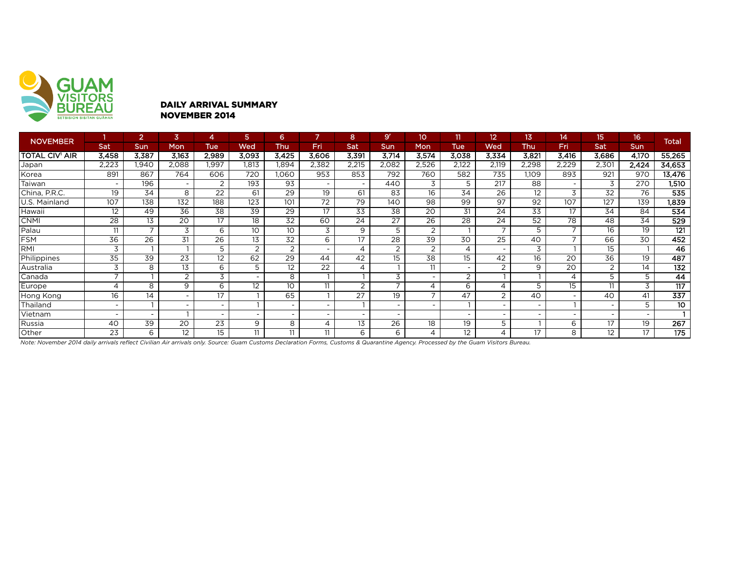

#### DAILY ARRIVAL SUMMARY NOVEMBER 2014

| <b>NOVEMBER</b>       |                          | $\overline{2}$ | 3                        | 4                        | 5                        | 6                        |                          | 8                        | 9 <sup>r</sup>           | 10             | 11                       | 12                       | 13.             | 14                       | 15.                      | 16                       | <b>Total</b>     |
|-----------------------|--------------------------|----------------|--------------------------|--------------------------|--------------------------|--------------------------|--------------------------|--------------------------|--------------------------|----------------|--------------------------|--------------------------|-----------------|--------------------------|--------------------------|--------------------------|------------------|
|                       | Sat                      | Sun            | Mon                      | <b>Tue</b>               | Wed                      | Thu                      | Fri                      | Sat                      | <b>Sun</b>               | <b>Mon</b>     | <b>Tue</b>               | Wed                      | Thu             | Fri                      | Sat                      | Sun                      |                  |
| <b>TOTAL CIV' AIR</b> | 3,458                    | 3,387          | 3,163                    | 2,989                    | 3,093                    | 3,425                    | 3,606                    | 3,391                    | 3,714                    | 3,574          | 3,038                    | 3,334                    | 3,821           | 3,416                    | 3,686                    | 4,170                    | 55,265           |
| Japan                 | 2,223                    | 1,940          | 2,088                    | 1,997                    | 1,813                    | 1,894                    | 2,382                    | 2,215                    | 2,082                    | 2,526          | 2,122                    | 2,119                    | 2,298           | 2,229                    | 2,301                    | 2,424                    | 34,653           |
| Korea                 | 891                      | 867            | 764                      | 606                      | 720                      | 060,1                    | 953                      | 853                      | 792                      | 760            | 582                      | 735                      | 1,109           | 893                      | 921                      | 970                      | 13,476           |
| Taiwan                | $\overline{\phantom{0}}$ | 196            | $\overline{\phantom{0}}$ | 2                        | 193                      | 93                       | $\overline{\phantom{a}}$ | $\overline{\phantom{a}}$ | 440                      | 3              | 5                        | 217                      | 88              | $\overline{\phantom{0}}$ | 3                        | 270                      | 1,510            |
| China, P.R.C.         | 19                       | 34             | 8                        | 22                       | 61                       | 29                       | 19                       | 61                       | 83                       | 16             | 34                       | 26                       | 12              | 3                        | 32                       | 76                       | 535              |
| U.S. Mainland         | 107                      | 138            | 132                      | $\overline{188}$         | 123                      | 101                      | $\overline{72}$          | 79                       | 140                      | 98             | 99                       | $\overline{97}$          | 92              | 107                      | 127                      | 139                      | 1,839            |
| Hawaii                | 12                       | 49             | $\overline{36}$          | $\overline{38}$          | $\overline{39}$          | $\overline{29}$          | $\overline{17}$          | $\overline{33}$          | 38                       | 20             | 31                       | 24                       | $\overline{33}$ | 17                       | 34                       | 84                       | 534              |
| <b>CNMI</b>           | 28                       | 13             | 20                       | 17                       | 18                       | 32                       | 60                       | $2\overline{4}$          | 27                       | 26             | 28                       | 24                       | 52              | 78                       | 48                       | 34                       | 529              |
| Palau                 | 11                       | $\overline{ }$ | 3                        | 6                        | 10                       | 10                       | 3                        | 9                        | 5                        | 2              |                          | $\overline{\phantom{a}}$ | 5               | $\overline{\phantom{a}}$ | 16                       | 19                       | $\overline{121}$ |
| FSM                   | $\overline{36}$          | 26             | 31                       | $\overline{26}$          | 13                       | 32                       | 6                        | 17                       | 28                       | 39             | 30                       | 25                       | 40              |                          | 66                       | $\overline{30}$          | 452              |
| RMI                   | 3                        |                |                          | 5                        | 2                        | $\overline{2}$           | $\overline{\phantom{0}}$ | $\overline{4}$           | $\overline{2}$           | 2              | 4                        | $\overline{\phantom{0}}$ | 3               |                          | 15                       |                          | 46               |
| Philippines           | $\overline{35}$          | 39             | $\overline{23}$          | $\overline{12}$          | 62                       | 29                       | 44                       | 42                       | 15                       | 38             | 15                       | 42                       | 16              | $\overline{20}$          | $\overline{36}$          | 19                       | 487              |
| Australia             | 3                        | 8              | 13                       | 6                        | 5                        | 12                       | 22                       | $\overline{4}$           |                          | 11             | $\overline{\phantom{0}}$ | $\overline{2}$           | 9               | 20                       | 2                        | 14                       | 132              |
| Canada                | $\overline{ }$           |                | $\overline{2}$           | 3                        | $\overline{\phantom{a}}$ | 8                        |                          |                          | 3                        |                | 2                        |                          |                 | $\overline{A}$           | 5                        | 5                        | 44               |
| Europe                | 4                        | 8              | 9                        | 6                        | 12                       | 10                       | 11                       | 2                        | $\overline{\phantom{a}}$ | 4              | 6                        | 4                        | 5               | 15                       | 11                       | 3                        | 117              |
| Hong Kong             | 16                       | 14             |                          | 17                       |                          | 65                       |                          | 27                       | 19                       | $\overline{ }$ | 47                       | $\overline{2}$           | 40              |                          | 40                       | 41                       | 337              |
| Thailand              | $\overline{\phantom{0}}$ |                | $\overline{\phantom{0}}$ | $\overline{\phantom{a}}$ |                          | $\overline{\phantom{a}}$ | $\overline{a}$           |                          | $\overline{\phantom{0}}$ |                |                          | $\overline{\phantom{0}}$ |                 |                          | $\overline{\phantom{0}}$ | 5                        | 10               |
| Vietnam               | $\overline{\phantom{0}}$ |                |                          | $\overline{\phantom{a}}$ | $\overline{\phantom{a}}$ | $\overline{\phantom{a}}$ | $\overline{\phantom{0}}$ | $\overline{\phantom{0}}$ |                          |                | $\overline{\phantom{0}}$ |                          | $\sim$          |                          |                          | $\overline{\phantom{0}}$ |                  |
| Russia                | 40                       | 39             | 20                       | 23                       | 9                        | 8                        | 4                        | 13                       | 26                       | 18             | 19                       | 5                        |                 | 6                        | 17                       | 19                       | 267              |
| Other                 | 23                       | 6              | 12                       | 15                       | 11                       | 11                       | 11                       | 6                        | 6                        | 4              | 12                       | 4                        | 17              | 8                        | 12                       | 17                       | 175              |

*Note: November 2014 daily arrivals reflect Civilian Air arrivals only. Source: Guam Customs Declaration Forms, Customs & Quarantine Agency. Processed by the Guam Visitors Bureau.*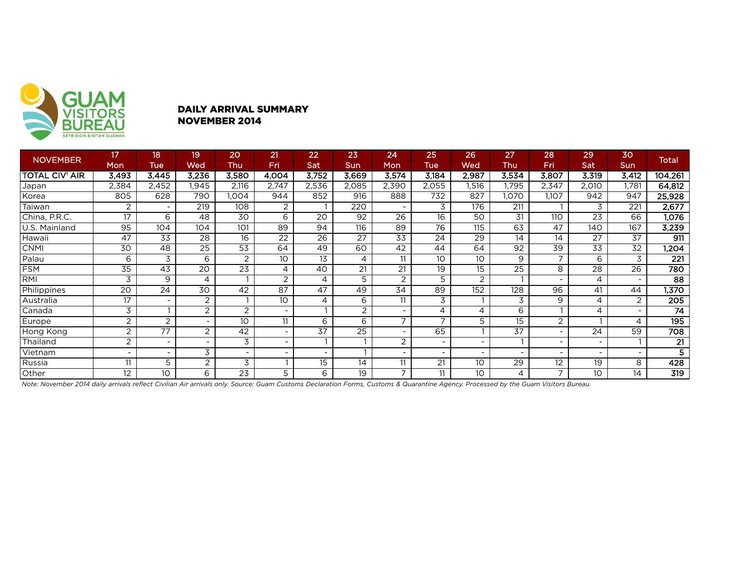

### DAILY ARRIVAL SUMMARY NOVEMBER 2014

|                       | 17                       | 18                       | 19              | 20                       | 21                       | 22              | 23    | 24              | 25              | 26                       | 27               | 28                       | 29                       | 30         | <b>Total</b>     |
|-----------------------|--------------------------|--------------------------|-----------------|--------------------------|--------------------------|-----------------|-------|-----------------|-----------------|--------------------------|------------------|--------------------------|--------------------------|------------|------------------|
| NOVEMBER              | Mon                      | <b>Tue</b>               | Wed             | Thu                      | Fri                      | Sat             | Sun   | Mon             | Tue             | Wed                      | Thu              | Fri                      | <b>Sat</b>               | <b>Sun</b> |                  |
| <b>TOTAL CIV' AIR</b> | 3,493                    | 3,445                    | 3,236           | 3,580                    | 4,004                    | 3,752           | 3,669 | 3,574           | 3,184           | 2,987                    | 3,534            | 3,807                    | 3,319                    | 3,412      | 104,261          |
| Japan                 | 2,384                    | 2,452                    | 1,945           | 2,116                    | 2,747                    | 2,536           | 2,085 | 2,390           | 2,055           | 1,516                    | 1,795            | 2,347                    | 2,010                    | 1,781      | 64,812           |
| Korea                 | 805                      | 628                      | 790             | 1.004                    | 944                      | 852             | 916   | 888             | 732             | 827                      | 1,070            | 1,107                    | 942                      | 947        | 25,928           |
| Taiwan                | 2                        |                          | 219             | 108                      | 2                        |                 | 220   |                 | 3               | 176                      | 211              |                          | 3                        | 221        | 2,677            |
| China, P.R.C.         | 17                       | 6                        | 48              | 30                       | 6                        | $\overline{20}$ | 92    | 26              | 16              | 50                       | 31               | 110                      | 23                       | 66         | 1,076            |
| U.S. Mainland         | 95                       | 104                      | 104             | 101                      | 89                       | 94              | 116   | 89              | 76              | 115                      | 63               | 47                       | 140                      | 167        | 3,239            |
| Hawaii                | 47                       | 33                       | 28              | 16                       | 22                       | 26              | 27    | 33              | $2\overline{4}$ | 29                       | 14               | 14                       | 27                       | 37         | 911              |
| <b>CNMI</b>           | 30                       | 48                       | 25              | 53                       | 64                       | 49              | 60    | 42              | 44              | 64                       | 92               | 39                       | 33                       | 32         | 1,204            |
| Palau                 | 6                        | 3                        | 6               | 2                        | 10                       | 13              | 4     | 11              | 10 <sup>°</sup> | 10                       | 9                | $\overline{7}$           | 6                        | 3          | $\overline{221}$ |
| <b>FSM</b>            | 35                       | 43                       | 20              | 23                       | 4                        | 40              | 21    | 21              | 19              | 15                       | 25               | 8                        | 28                       | 26         | 780              |
| <b>RMI</b>            | 3                        | 9                        | 4               |                          | 2                        | 4               | 5     | 2               | 5               | 2                        |                  | $\overline{\phantom{a}}$ | 4                        |            | 88               |
| Philippines           | $\overline{20}$          | $\overline{24}$          | $\overline{30}$ | 42                       | $\overline{87}$          | 47              | 49    | $\overline{34}$ | 89              | $\overline{152}$         | $\overline{128}$ | $\overline{96}$          | 41                       | 44         | 1,370            |
| Australia             | 17                       | $\overline{\phantom{a}}$ | 2               |                          | 10 <sup>°</sup>          | 4               | 6     | 11              | 3               |                          | 3                | 9                        | 4                        | 2          | 205              |
| Canada                | 3                        |                          | 2               | $\overline{2}$           |                          |                 | 2     |                 | 4               | 4                        | 6                |                          | 4                        |            | 74               |
| Europe                | $\overline{2}$           | $\overline{c}$           | -               | 10                       | 11                       | 6               | 6     | $\overline{ }$  |                 | 5                        | 15               | $\overline{2}$           |                          | 4          | 195              |
| Hong Kong             | $\overline{2}$           | 77                       | $\overline{2}$  | 42                       |                          | 37              | 25    |                 | 65              |                          | 37               | $\overline{\phantom{a}}$ | 24                       | 59         | $\overline{708}$ |
| Thailand              | $\overline{2}$           | $\overline{\phantom{a}}$ | Ξ.              | 3                        | $\overline{\phantom{0}}$ |                 |       | 2               | $\equiv$        | $\overline{\phantom{a}}$ |                  | $\sim$                   | $\overline{\phantom{a}}$ |            | $\overline{21}$  |
| Vietnam               | $\overline{\phantom{0}}$ | $\overline{\phantom{a}}$ | 3               | $\overline{\phantom{0}}$ |                          |                 |       |                 |                 | $\overline{\phantom{0}}$ |                  | $\,$                     |                          |            |                  |
| Russia                | 11                       | 5                        | 2               | 3                        |                          | 15              | 14    | 11              | 21              | 10                       | $\overline{29}$  | 12                       | 19                       | 8          | 428              |
| Other                 | 12                       | 10 <sup>°</sup>          | 6               | 23                       | 5                        | 6               | 19    | $\overline{7}$  | 11              | 10                       | 4                | $\overline{7}$           | 10                       | 14         | 319              |

*Note: November 2014 daily arrivals reflect Civilian Air arrivals only. Source: Guam Customs Declaration Forms, Customs & Quarantine Agency. Processed by the Guam Visitors Bureau.*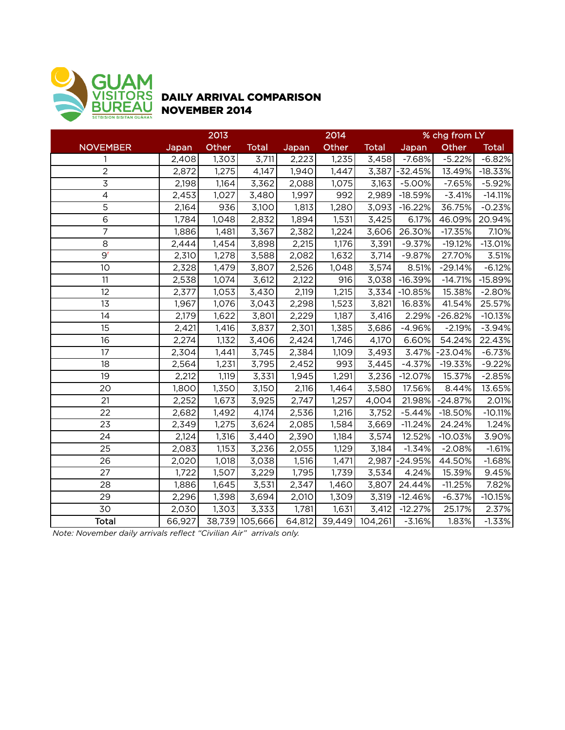

## DAILY ARRIVAL COMPARISON NOVEMBER 2014

|                          | 2013   |       |                |        | 2014  |                | % chg from LY |           |              |  |
|--------------------------|--------|-------|----------------|--------|-------|----------------|---------------|-----------|--------------|--|
| <b>NOVEMBER</b>          | Japan  | Other | <b>Total</b>   | Japan  | Other | <b>Total</b>   | Japan         | Other     | <b>Total</b> |  |
| 1                        | 2,408  | 1,303 | 3,711          | 2,223  | 1,235 | 3,458          | $-7.68%$      | $-5.22%$  | $-6.82%$     |  |
| $\overline{2}$           | 2,872  | 1,275 | 4,147          | 1,940  | 1,447 | 3,387          | $-32.45%$     | 13.49%    | $-18.33%$    |  |
| $\overline{3}$           | 2,198  | 1,164 | 3,362          | 2,088  | 1,075 | 3,163          | $-5.00%$      | $-7.65%$  | $-5.92%$     |  |
| $\overline{\mathcal{L}}$ | 2,453  | 1,027 | 3,480          | 1,997  | 992   | 2,989          | $-18.59%$     | $-3.41%$  | $-14.11%$    |  |
| 5                        | 2,164  | 936   | 3,100          | 1,813  | 1,280 | 3,093          | $-16.22%$     | 36.75%    | $-0.23%$     |  |
| $\overline{6}$           | 1,784  | 1,048 | 2,832          | 1,894  | 1,531 | 3,425          | 6.17%         | 46.09%    | 20.94%       |  |
| $\overline{7}$           | 1,886  | 1,481 | 3,367          | 2,382  | 1,224 | 3,606          | 26.30%        | $-17.35%$ | 7.10%        |  |
| 8                        | 2,444  | 1,454 | 3,898          | 2,215  | 1,176 | 3,391          | $-9.37%$      | $-19.12%$ | $-13.01%$    |  |
| 9 <sup>r</sup>           | 2,310  | 1,278 | 3,588          | 2,082  | 1,632 | 3,714          | $-9.87%$      | 27.70%    | 3.51%        |  |
| 10                       | 2,328  | 1,479 | 3,807          | 2,526  | 1,048 | 3,574          | 8.51%         | $-29.14%$ | $-6.12%$     |  |
| 11                       | 2,538  | 1,074 | 3,612          | 2,122  | 916   | 3,038          | $-16.39%$     | $-14.71%$ | $-15.89%$    |  |
| 12                       | 2,377  | 1,053 | 3,430          | 2,119  | 1,215 | 3,334          | $-10.85%$     | 15.38%    | $-2.80%$     |  |
| 13                       | 1,967  | 1,076 | 3,043          | 2,298  | 1,523 | 3,821          | 16.83%        | 41.54%    | 25.57%       |  |
| 14                       | 2,179  | 1,622 | 3,801          | 2,229  | 1,187 | 3,416          | 2.29%         | $-26.82%$ | $-10.13%$    |  |
| 15                       | 2,421  | 1,416 | 3,837          | 2,301  | 1,385 | 3,686          | $-4.96%$      | $-2.19%$  | $-3.94%$     |  |
| 16                       | 2,274  | 1,132 | 3,406          | 2,424  | 1,746 | 4,170          | 6.60%         | 54.24%    | 22.43%       |  |
| 17                       | 2,304  | 1,441 | 3,745          | 2,384  | 1,109 | 3,493          | 3.47%         | $-23.04%$ | $-6.73%$     |  |
| 18                       | 2,564  | 1,231 | 3,795          | 2,452  | 993   | 3,445          | $-4.37%$      | $-19.33%$ | $-9.22%$     |  |
| 19                       | 2,212  | 1,119 | 3,331          | 1,945  | 1,291 | 3,236          | $-12.07%$     | 15.37%    | $-2.85%$     |  |
| 20                       | 1,800  | 1,350 | 3,150          | 2,116  | 1,464 | 3,580          | 17.56%        | 8.44%     | 13.65%       |  |
| 21                       | 2,252  | 1,673 | 3,925          | 2,747  | 1,257 | 4,004          | 21.98%        | $-24.87%$ | 2.01%        |  |
| 22                       | 2,682  | 1,492 | 4,174          | 2,536  | 1,216 | 3,752          | $-5.44%$      | $-18.50%$ | $-10.11%$    |  |
| 23                       | 2,349  | 1,275 | 3,624          | 2,085  | 1,584 | 3,669          | $-11.24%$     | 24.24%    | 1.24%        |  |
| 24                       | 2,124  | 1,316 | 3,440          | 2,390  | 1,184 | 3,574          | 12.52%        | $-10.03%$ | 3.90%        |  |
| 25                       | 2,083  | 1,153 | 3,236          | 2,055  | 1,129 | 3,184          | $-1.34%$      | $-2.08%$  | $-1.61%$     |  |
| 26                       | 2,020  | 1,018 | 3,038          | 1,516  | 1,471 | 2,987          | $-24.95%$     | 44.50%    | $-1.68%$     |  |
| 27                       | 1,722  | 1,507 | 3,229          | 1,795  | 1,739 | 3,534          | 4.24%         | 15.39%    | 9.45%        |  |
| 28                       | 1,886  | 1,645 | 3,531          | 2,347  | 1,460 | 3,807          | 24.44%        | $-11.25%$ | 7.82%        |  |
| 29                       | 2,296  | 1,398 | 3,694          | 2,010  | 1,309 | 3,319          | $-12.46%$     | $-6.37%$  | $-10.15%$    |  |
| 30                       | 2,030  | 1,303 | 3,333          | 1,781  | 1,631 | 3,412          | $-12.27%$     | 25.17%    | 2.37%        |  |
| Total                    | 66,927 |       | 38,739 105,666 | 64,812 |       | 39,449 104,261 | $-3.16%$      | 1.83%     | $-1.33%$     |  |

*Note: November daily arrivals reflect "Civilian Air" arrivals only.*